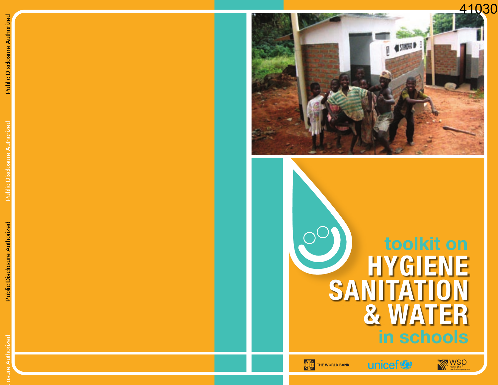## 41030



**toolkit on HYGIENE SANITATION & WATER in schools**

unicef<sup>®</sup>

WSD<sub>water and</sub>







Public Disclosure Authorized

osure Authorized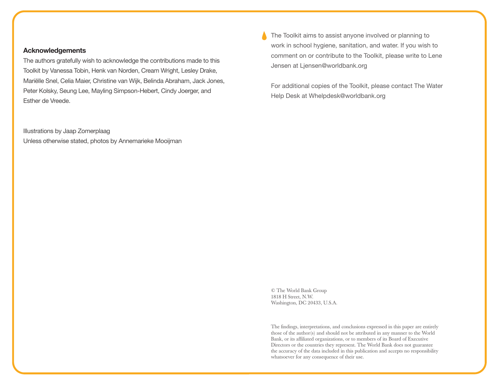### **Acknowledgements**

The authors gratefully wish to acknowledge the contributions made to this Toolkit by Vanessa Tobin, Henk van Norden, Cream Wright, Lesley Drake, Mariëlle Snel, Celia Maier, Christine van Wijk, Belinda Abraham, Jack Jones, Peter Kolsky, Seung Lee, Mayling Simpson-Hebert, Cindy Joerger, and Esther de Vreede.

Illustrations by Jaap Zomerplaag Unless otherwise stated, photos by Annemarieke Mooijman The Toolkit aims to assist anyone involved or planning to work in school hygiene, sanitation, and water. If you wish to comment on or contribute to the Toolkit, please write to Lene Jensen at Ljensen@worldbank.org

For additional copies of the Toolkit, please contact The Water Help Desk at Whelpdesk@worldbank.org

© The World Bank Group 1818 H Street, N.W. Washington, DC 20433, U.S.A.

The findings, interpretations, and conclusions expressed in this paper are entirely those of the author(s) and should not be attributed in any manner to the World Bank, or its affiliated organizations, or to members of its Board of Executive Directors or the countries they represent. The World Bank does not guarantee the accuracy of the data included in this publication and accepts no responsibility whatsoever for any consequence of their use.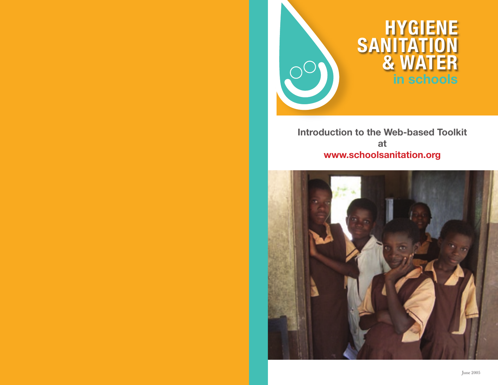

**Introduction to the Web-based Toolkit at www.schoolsanitation.org**

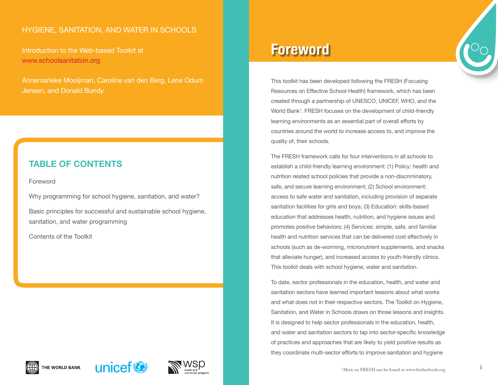## HYGIENE, SANITATION, AND WATER IN SCHOOLS

Introduction to the Web-based Toolkit at www.schoolsanitation.org

Annemarieke Mooijman, Caroline van den Berg, Lene Odum Jensen, and Donald Bundy

## **TABLE OF CONTENTS**

Foreword

Why programming for school hygiene, sanitation, and water?

Basic principles for successful and sustainable school hygiene, sanitation, and water programming

Contents of the Toolkit

# **Foreword**

This toolkit has been developed following the FRESH (Focusing Resources on Effective School Health) framework, which has been created through a partnership of UNESCO, UNICEF, WHO, and the World Bank<sup>1</sup>. FRESH focuses on the development of child-friendly learning environments as an essential part of overall efforts by countries around the world to increase access to, and improve the quality of, their schools.

The FRESH framework calls for four interventions in all schools to establish a child-friendly learning environment: (1) Policy: health and nutrition related school policies that provide a non-discriminatory, safe, and secure learning environment; (2) School environment: access to safe water and sanitation, including provision of separate sanitation facilities for girls and boys; (3) Education: skills-based education that addresses health, nutrition, and hygiene issues and promotes positive behaviors; (4) Services: simple, safe, and familiar health and nutrition services that can be delivered cost effectively in schools (such as de-worming, micronutrient supplements, and snacks that alleviate hunger), and increased access to youth-friendly clinics. This toolkit deals with school hygiene, water and sanitation.

To date, sector professionals in the education, health, and water and sanitation sectors have learned important lessons about what works and what does not in their respective sectors. The Toolkit on Hygiene, Sanitation, and Water in Schools draws on those lessons and insights. It is designed to help sector professionals in the education, health, and water and sanitation sectors to tap into sector-specific knowledge of practices and approaches that are likely to yield positive results as they coordinate multi-sector efforts to improve sanitation and hygiene





i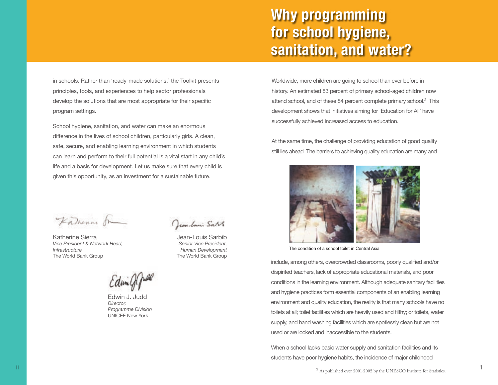# **Why programming for school hygiene, sanitation, and water?**

in schools. Rather than 'ready-made solutions,' the Toolkit presents principles, tools, and experiences to help sector professionals develop the solutions that are most appropriate for their specific program settings.

School hygiene, sanitation, and water can make an enormous difference in the lives of school children, particularly girls. A clean, safe, secure, and enabling learning environment in which students can learn and perform to their full potential is a vital start in any child's life and a basis for development. Let us make sure that every child is given this opportunity, as an investment for a sustainable future.

Fatherin fr

Katherine Sierra *Vice President & Network Head, Infrastructure*  The World Bank Group

Jean-Louis Sart

Jean-Louis Sarbib *Senior Vice President, Human Development* The World Bank Group

Edwington

Edwin J. Judd *Director, Programme Division* UNICEF New York



At the same time, the challenge of providing education of good quality still lies ahead. The barriers to achieving quality education are many and



The condition of a school toilet in Central Asia

include, among others, overcrowded classrooms, poorly qualified and/or dispirited teachers, lack of appropriate educational materials, and poor conditions in the learning environment. Although adequate sanitary facilities and hygiene practices form essential components of an enabling learning environment and quality education, the reality is that many schools have no toilets at all; toilet facilities which are heavily used and filthy; or toilets, water supply, and hand washing facilities which are spotlessly clean but are not used or are locked and inaccessible to the students.

When a school lacks basic water supply and sanitation facilities and its students have poor hygiene habits, the incidence of major childhood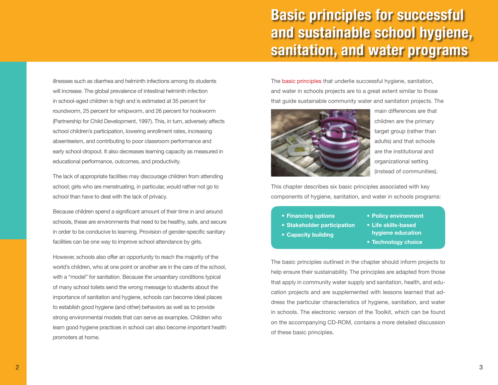# **Basic principles for successful and sustainable school hygiene, sanitation, and water programs**

illnesses such as diarrhea and helminth infections among its students will increase. The global prevalence of intestinal helminth infection in school-aged children is high and is estimated at 35 percent for roundworm, 25 percent for whipworm, and 26 percent for hookworm (Partnership for Child Development, 1997). This, in turn, adversely affects school children's participation, lowering enrollment rates, increasing absenteeism, and contributing to poor classroom performance and early school dropout. It also decreases learning capacity as measured in educational performance, outcomes, and productivity.

The lack of appropriate facilities may discourage children from attending school; girls who are menstruating, in particular, would rather not go to school than have to deal with the lack of privacy.

Because children spend a significant amount of their time in and around schools, these are environments that need to be healthy, safe, and secure in order to be conducive to learning. Provision of gender-specific sanitary facilities can be one way to improve school attendance by girls.

However, schools also offer an opportunity to reach the majority of the world's children, who at one point or another are in the care of the school, with a "model" for sanitation. Because the unsanitary conditions typical of many school toilets send the wrong message to students about the importance of sanitation and hygiene, schools can become ideal places to establish good hygiene (and other) behaviors as well as to provide strong environmental models that can serve as examples. Children who learn good hygiene practices in school can also become important health promoters at home.

The basic principles that underlie successful hygiene, sanitation, and water in schools projects are to a great extent similar to those that guide sustainable community water and sanitation projects. The



main differences are that children are the primary target group (rather than adults) and that schools are the institutional and organizational setting (instead of communities).

This chapter describes six basic principles associated with key components of hygiene, sanitation, and water in schools programs:

**• Financing options** 

**• Capacity building** 

- **Stakeholder participation**
- **hygiene education**
- **Technology choice**

**• Policy environment • Life skills-based** 

The basic principles outlined in the chapter should inform projects to help ensure their sustainability. The principles are adapted from those that apply in community water supply and sanitation, health, and education projects and are supplemented with lessons learned that address the particular characteristics of hygiene, sanitation, and water in schools. The electronic version of the Toolkit, which can be found on the accompanying CD-ROM, contains a more detailed discussion of these basic principles.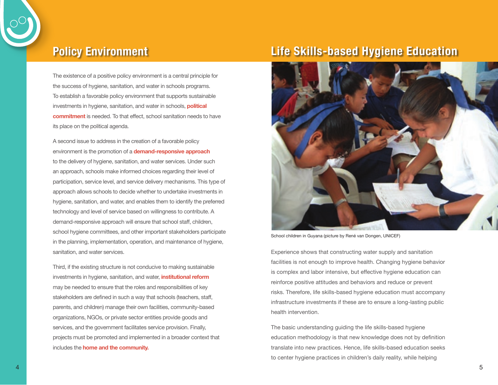

## **Policy Environment**

The existence of a positive policy environment is a central principle for the success of hygiene, sanitation, and water in schools programs. To establish a favorable policy environment that supports sustainable investments in hygiene, sanitation, and water in schools, **political commitment** is needed. To that effect, school sanitation needs to have its place on the political agenda.

A second issue to address in the creation of a favorable policy environment is the promotion of a **demand-responsive approach** to the delivery of hygiene, sanitation, and water services. Under such an approach, schools make informed choices regarding their level of participation, service level, and service delivery mechanisms. This type of approach allows schools to decide whether to undertake investments in hygiene, sanitation, and water, and enables them to identify the preferred technology and level of service based on willingness to contribute. A demand-responsive approach will ensure that school staff, children, school hygiene committees, and other important stakeholders participate in the planning, implementation, operation, and maintenance of hygiene, sanitation, and water services.

Third, if the existing structure is not conducive to making sustainable investments in hygiene, sanitation, and water, **institutional reform** may be needed to ensure that the roles and responsibilities of key stakeholders are defined in such a way that schools (teachers, staff, parents, and children) manage their own facilities, community-based organizations, NGOs, or private sector entities provide goods and services, and the government facilitates service provision. Finally, projects must be promoted and implemented in a broader context that includes the **home and the community.** 

## **Life Skills-based Hygiene Education**



School children in Guyana (picture by René van Dongen, UNICEF)

Experience shows that constructing water supply and sanitation facilities is not enough to improve health. Changing hygiene behavior is complex and labor intensive, but effective hygiene education can reinforce positive attitudes and behaviors and reduce or prevent risks. Therefore, life skills-based hygiene education must accompany infrastructure investments if these are to ensure a long-lasting public health intervention.

The basic understanding guiding the life skills-based hygiene education methodology is that new knowledge does not by definition translate into new practices. Hence, life skills-based education seeks to center hygiene practices in children's daily reality, while helping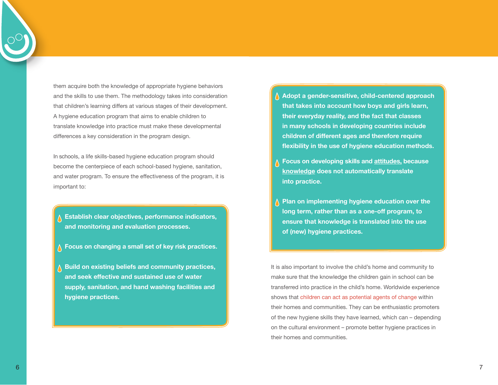them acquire both the knowledge of appropriate hygiene behaviors and the skills to use them. The methodology takes into consideration that children's learning differs at various stages of their development. A hygiene education program that aims to enable children to translate knowledge into practice must make these developmental differences a key consideration in the program design.

In schools, a life skills-based hygiene education program should become the centerpiece of each school-based hygiene, sanitation, and water program. To ensure the effectiveness of the program, it is important to:

- **Establish clear objectives, performance indicators, and monitoring and evaluation processes.**
- **Focus on changing a small set of key risk practices.**
- **Build on existing beliefs and community practices, and seek effective and sustained use of water supply, sanitation, and hand washing facilities and hygiene practices.**
- **Adopt a gender-sensitive, child-centered approach that takes into account how boys and girls learn, their everyday reality, and the fact that classes in many schools in developing countries include children of different ages and therefore require flexibility in the use of hygiene education methods.**
- **Focus on developing skills and attitudes, because knowledge does not automatically translate into practice.**
- **Plan on implementing hygiene education over the long term, rather than as a one-off program, to ensure that knowledge is translated into the use of (new) hygiene practices.**

It is also important to involve the child's home and community to make sure that the knowledge the children gain in school can be transferred into practice in the child's home. Worldwide experience shows that children can act as potential agents of change within their homes and communities. They can be enthusiastic promoters of the new hygiene skills they have learned, which can – depending on the cultural environment – promote better hygiene practices in their homes and communities.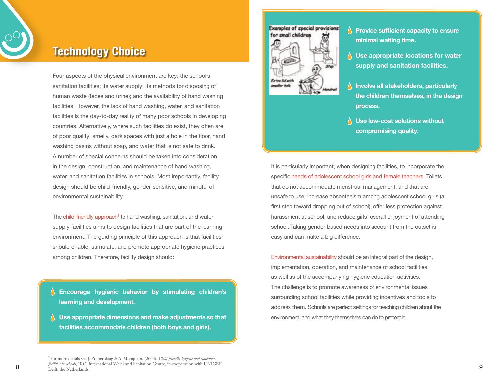

## **Technology Choice**

Four aspects of the physical environment are key: the school's sanitation facilities; its water supply; its methods for disposing of human waste (feces and urine); and the availability of hand washing facilities. However, the lack of hand washing, water, and sanitation facilities is the day-to-day reality of many poor schools in developing countries. Alternatively, where such facilities do exist, they often are of poor quality: smelly, dark spaces with just a hole in the floor, hand washing basins without soap, and water that is not safe to drink. A number of special concerns should be taken into consideration in the design, construction, and maintenance of hand washing, water, and sanitation facilities in schools. Most importantly, facility design should be child-friendly, gender-sensitive, and mindful of environmental sustainability.

The child-friendly approach<sup>3</sup> to hand washing, sanitation, and water supply facilities aims to design facilities that are part of the learning environment. The guiding principle of this approach is that facilities should enable, stimulate, and promote appropriate hygiene practices among children. Therefore, facility design should:

**Encourage hygienic behavior by stimulating children's learning and development.**

**Use appropriate dimensions and make adjustments so that facilities accommodate children (both boys and girls).**



- **Provide sufficient capacity to ensure minimal waiting time.**
- **Use appropriate locations for water supply and sanitation facilities.**
- **Involve all stakeholders, particularly the children themselves, in the design process.**
- **Use low-cost solutions without compromising quality.**

It is particularly important, when designing facilities, to incorporate the specific needs of adolescent school girls and female teachers. Toilets that do not accommodate menstrual management, and that are unsafe to use, increase absenteeism among adolescent school girls (a first step toward dropping out of school), offer less protection against harassment at school, and reduce girls' overall enjoyment of attending school. Taking gender-based needs into account from the outset is easy and can make a big difference.

Environmental sustainability should be an integral part of the design, implementation, operation, and maintenance of school facilities, as well as of the accompanying hygiene education activities. The challenge is to promote awareness of environmental issues surrounding school facilities while providing incentives and tools to address them. Schools are perfect settings for teaching children about the environment, and what they themselves can do to protect it.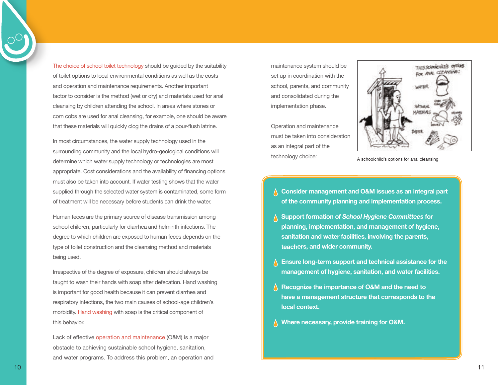The choice of school toilet technology should be guided by the suitability of toilet options to local environmental conditions as well as the costs and operation and maintenance requirements. Another important factor to consider is the method (wet or dry) and materials used for anal cleansing by children attending the school. In areas where stones or corn cobs are used for anal cleansing, for example, one should be aware that these materials will quickly clog the drains of a pour-flush latrine.

In most circumstances, the water supply technology used in the surrounding community and the local hydro-geological conditions will determine which water supply technology or technologies are most appropriate. Cost considerations and the availability of financing options must also be taken into account. If water testing shows that the water supplied through the selected water system is contaminated, some form of treatment will be necessary before students can drink the water.

Human feces are the primary source of disease transmission among school children, particularly for diarrhea and helminth infections. The degree to which children are exposed to human feces depends on the type of toilet construction and the cleansing method and materials being used.

Irrespective of the degree of exposure, children should always be taught to wash their hands with soap after defecation. Hand washing is important for good health because it can prevent diarrhea and respiratory infections, the two main causes of school-age children's morbidity. Hand washing with soap is the critical component of this behavior.

Lack of effective operation and maintenance (O&M) is a major obstacle to achieving sustainable school hygiene, sanitation, and water programs. To address this problem, an operation and maintenance system should be set up in coordination with the school, parents, and community and consolidated during the implementation phase.

Operation and maintenance must be taken into consideration as an integral part of the technology choice:



A schoolchild's options for anal cleansing

- **Consider management and O&M issues as an integral part of the community planning and implementation process.**
- **Support formation of** *School Hygiene Committees* **for planning, implementation, and management of hygiene, sanitation and water facilities, involving the parents, teachers, and wider community.**
- **Ensure long-term support and technical assistance for the management of hygiene, sanitation, and water facilities.**
- **Recognize the importance of O&M and the need to have a management structure that corresponds to the local context.**
- **Where necessary, provide training for O&M.**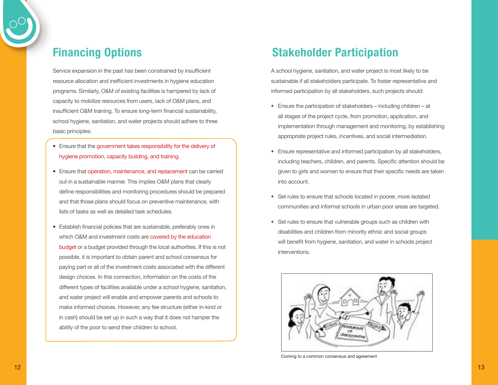Service expansion in the past has been constrained by insufficient resource allocation and inefficient investments in hygiene education programs. Similarly, O&M of existing facilities is hampered by lack of capacity to mobilize resources from users, lack of O&M plans, and insufficient O&M training. To ensure long-term financial sustainability, school hygiene, sanitation, and water projects should adhere to three basic principles:

- **•** Ensure that the government takes responsibility for the delivery of hygiene promotion, capacity building, and training.
- Ensure that operation, maintenance, and replacement can be carried out in a sustainable manner. This implies O&M plans that clearly define responsibilities and monitoring procedures should be prepared and that those plans should focus on preventive maintenance, with lists of tasks as well as detailed task schedules.
- **•** Establish financial policies that are sustainable, preferably ones in which O&M and investment costs are **covered by the education** budget or a budget provided through the local authorities. If this is not possible, it is important to obtain parent and school consensus for paying part or all of the investment costs associated with the different design choices. In this connection, information on the costs of the different types of facilities available under a school hygiene, sanitation, and water project will enable and empower parents and schools to make informed choices. However, any fee structure (either in-kind or in cash) should be set up in such a way that it does not hamper the ability of the poor to send their children to school.

## **Financing Options Stakeholder Participation**

A school hygiene, sanitation, and water project is most likely to be sustainable if all stakeholders participate. To foster representative and informed participation by all stakeholders, such projects should:

- Ensure the participation of stakeholders including children at all stages of the project cycle, from promotion, application, and implementation through management and monitoring, by establishing appropriate project rules, incentives, and social intermediation.
- Ensure representative and informed participation by all stakeholders, including teachers, children, and parents. Specific attention should be given to girls and women to ensure that their specific needs are taken into account.
- Set rules to ensure that schools located in poorer, more isolated communities and informal schools in urban poor areas are targeted.
- Set rules to ensure that vulnerable groups such as children with disabilities and children from minority ethnic and social groups will benefit from hygiene, sanitation, and water in schools project interventions.



Coming to a common consensus and agreement